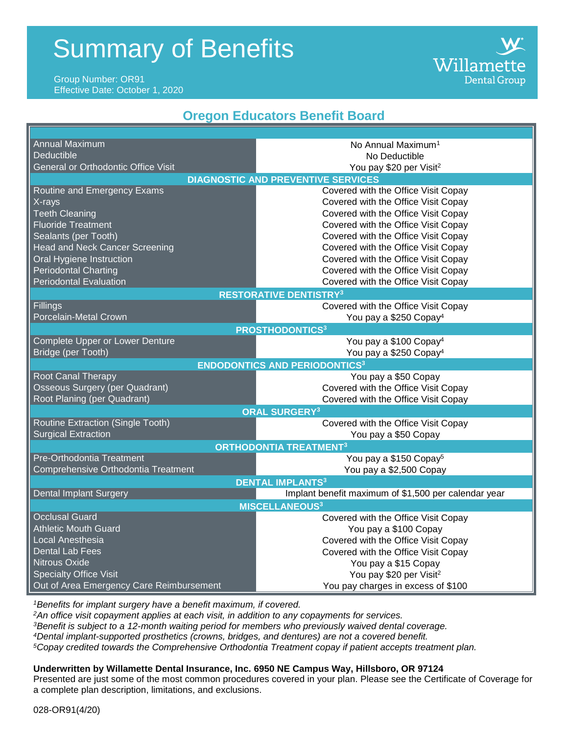# Summary of Benefits

## Group Number: OR91 Effective Date: October 1, 2020

# **Oregon Educators Benefit Board**

Willamette

**Dental Group** 

| <b>Annual Maximum</b>                     | No Annual Maximum <sup>1</sup>                       |
|-------------------------------------------|------------------------------------------------------|
| <b>Deductible</b>                         | No Deductible                                        |
| General or Orthodontic Office Visit       | You pay \$20 per Visit <sup>2</sup>                  |
| <b>DIAGNOSTIC AND PREVENTIVE SERVICES</b> |                                                      |
| Routine and Emergency Exams               | Covered with the Office Visit Copay                  |
| X-rays                                    | Covered with the Office Visit Copay                  |
| <b>Teeth Cleaning</b>                     | Covered with the Office Visit Copay                  |
| <b>Fluoride Treatment</b>                 | Covered with the Office Visit Copay                  |
| Sealants (per Tooth)                      | Covered with the Office Visit Copay                  |
| <b>Head and Neck Cancer Screening</b>     | Covered with the Office Visit Copay                  |
| Oral Hygiene Instruction                  | Covered with the Office Visit Copay                  |
| <b>Periodontal Charting</b>               | Covered with the Office Visit Copay                  |
| <b>Periodontal Evaluation</b>             | Covered with the Office Visit Copay                  |
| <b>RESTORATIVE DENTISTRY3</b>             |                                                      |
| <b>Fillings</b>                           | Covered with the Office Visit Copay                  |
| Porcelain-Metal Crown                     | You pay a \$250 Copay <sup>4</sup>                   |
| <b>PROSTHODONTICS3</b>                    |                                                      |
| Complete Upper or Lower Denture           | You pay a \$100 Copay <sup>4</sup>                   |
| Bridge (per Tooth)                        | You pay a \$250 Copay <sup>4</sup>                   |
| <b>ENDODONTICS AND PERIODONTICS3</b>      |                                                      |
| Root Canal Therapy                        | You pay a \$50 Copay                                 |
| <b>Osseous Surgery (per Quadrant)</b>     | Covered with the Office Visit Copay                  |
| Root Planing (per Quadrant)               | Covered with the Office Visit Copay                  |
| <b>ORAL SURGERY3</b>                      |                                                      |
| Routine Extraction (Single Tooth)         | Covered with the Office Visit Copay                  |
| <b>Surgical Extraction</b>                | You pay a \$50 Copay                                 |
| <b>ORTHODONTIA TREATMENT3</b>             |                                                      |
| Pre-Orthodontia Treatment                 | You pay a \$150 Copay <sup>5</sup>                   |
| Comprehensive Orthodontia Treatment       | You pay a \$2,500 Copay                              |
| <b>DENTAL IMPLANTS3</b>                   |                                                      |
| Dental Implant Surgery                    | Implant benefit maximum of \$1,500 per calendar year |
| <b>MISCELLANEOUS3</b>                     |                                                      |
| <b>Occlusal Guard</b>                     | Covered with the Office Visit Copay                  |
| <b>Athletic Mouth Guard</b>               | You pay a \$100 Copay                                |
| Local Anesthesia                          | Covered with the Office Visit Copay                  |
| <b>Dental Lab Fees</b>                    | Covered with the Office Visit Copay                  |
| Nitrous Oxide                             | You pay a \$15 Copay                                 |
| <b>Specialty Office Visit</b>             | You pay \$20 per Visit <sup>2</sup>                  |
| Out of Area Emergency Care Reimbursement  | You pay charges in excess of \$100                   |

*<sup>1</sup>Benefits for implant surgery have a benefit maximum, if covered.*

*An office visit copayment applies at each visit, in addition to any copayments for services. Benefit is subject to a 12-month waiting period for members who previously waived dental coverage. Dental implant-supported prosthetics (crowns, bridges, and dentures) are not a covered benefit. Copay credited towards the Comprehensive Orthodontia Treatment copay if patient accepts treatment plan.*

# **Underwritten by Willamette Dental Insurance, Inc. 6950 NE Campus Way, Hillsboro, OR 97124**

Presented are just some of the most common procedures covered in your plan. Please see the Certificate of Coverage for a complete plan description, limitations, and exclusions.

028-OR91(4/20)